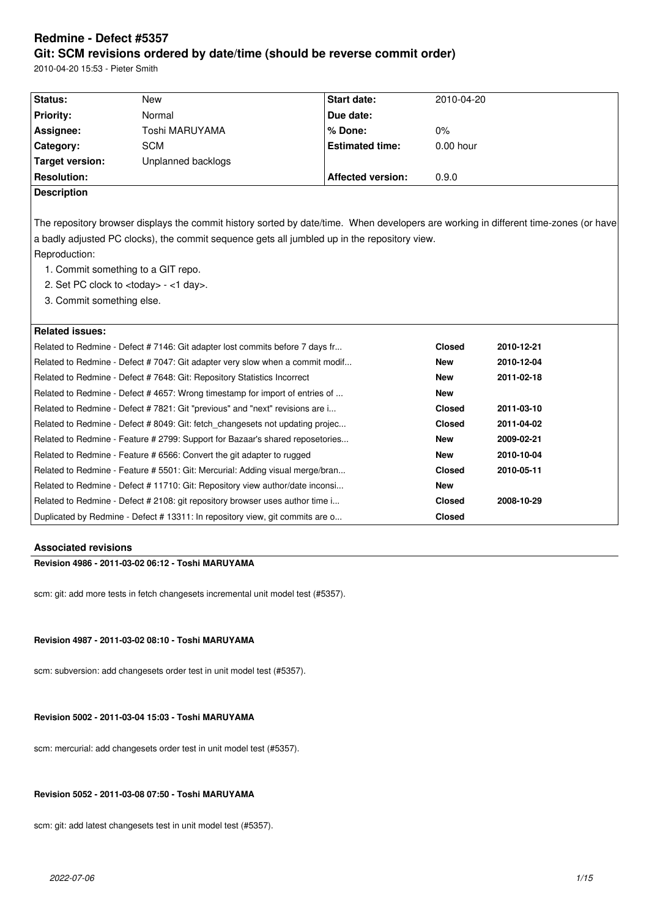# **Redmine - Defect #5357 Git: SCM revisions ordered by date/time (should be reverse commit order)**

2010-04-20 15:53 - Pieter Smith

|                                                                                                                                                                                                                                                                                                                                                                                  | Due date:                |               |                                                                                                                                                      |  |  |  |
|----------------------------------------------------------------------------------------------------------------------------------------------------------------------------------------------------------------------------------------------------------------------------------------------------------------------------------------------------------------------------------|--------------------------|---------------|------------------------------------------------------------------------------------------------------------------------------------------------------|--|--|--|
|                                                                                                                                                                                                                                                                                                                                                                                  |                          |               |                                                                                                                                                      |  |  |  |
| Toshi MARUYAMA                                                                                                                                                                                                                                                                                                                                                                   | % Done:                  | 0%            |                                                                                                                                                      |  |  |  |
|                                                                                                                                                                                                                                                                                                                                                                                  | <b>Estimated time:</b>   | $0.00$ hour   |                                                                                                                                                      |  |  |  |
|                                                                                                                                                                                                                                                                                                                                                                                  |                          |               |                                                                                                                                                      |  |  |  |
|                                                                                                                                                                                                                                                                                                                                                                                  | <b>Affected version:</b> | 0.9.0         |                                                                                                                                                      |  |  |  |
|                                                                                                                                                                                                                                                                                                                                                                                  |                          |               |                                                                                                                                                      |  |  |  |
| The repository browser displays the commit history sorted by date/time. When developers are working in different time-zones (or have<br>a badly adjusted PC clocks), the commit sequence gets all jumbled up in the repository view.<br>Reproduction:<br>1. Commit something to a GIT repo.<br>2. Set PC clock to <today> - &lt;1 day&gt;.<br/>3. Commit something else.</today> |                          |               |                                                                                                                                                      |  |  |  |
|                                                                                                                                                                                                                                                                                                                                                                                  |                          |               | 2010-12-21                                                                                                                                           |  |  |  |
| Related to Redmine - Defect #7146: Git adapter lost commits before 7 days fr                                                                                                                                                                                                                                                                                                     |                          |               | 2010-12-04                                                                                                                                           |  |  |  |
| Related to Redmine - Defect # 7047: Git adapter very slow when a commit modif                                                                                                                                                                                                                                                                                                    |                          |               | 2011-02-18                                                                                                                                           |  |  |  |
| Related to Redmine - Defect # 7648: Git: Repository Statistics Incorrect<br>Related to Redmine - Defect #4657: Wrong timestamp for import of entries of                                                                                                                                                                                                                          |                          |               |                                                                                                                                                      |  |  |  |
| Related to Redmine - Defect # 7821: Git "previous" and "next" revisions are i                                                                                                                                                                                                                                                                                                    |                          |               | 2011-03-10                                                                                                                                           |  |  |  |
| Related to Redmine - Defect #8049: Git: fetch changesets not updating projec                                                                                                                                                                                                                                                                                                     |                          |               | 2011-04-02                                                                                                                                           |  |  |  |
| Related to Redmine - Feature # 2799: Support for Bazaar's shared reposetories                                                                                                                                                                                                                                                                                                    |                          |               | 2009-02-21                                                                                                                                           |  |  |  |
| Related to Redmine - Feature # 6566: Convert the git adapter to rugged                                                                                                                                                                                                                                                                                                           |                          |               | 2010-10-04                                                                                                                                           |  |  |  |
| Related to Redmine - Feature # 5501: Git: Mercurial: Adding visual merge/bran                                                                                                                                                                                                                                                                                                    |                          |               | 2010-05-11                                                                                                                                           |  |  |  |
| Related to Redmine - Defect # 11710: Git: Repository view author/date inconsi                                                                                                                                                                                                                                                                                                    |                          |               |                                                                                                                                                      |  |  |  |
| Related to Redmine - Defect # 2108: git repository browser uses author time i                                                                                                                                                                                                                                                                                                    |                          | <b>Closed</b> | 2008-10-29                                                                                                                                           |  |  |  |
| Duplicated by Redmine - Defect #13311: In repository view, git commits are o                                                                                                                                                                                                                                                                                                     |                          | <b>Closed</b> |                                                                                                                                                      |  |  |  |
|                                                                                                                                                                                                                                                                                                                                                                                  | Unplanned backlogs       |               | <b>Closed</b><br><b>New</b><br><b>New</b><br><b>New</b><br><b>Closed</b><br><b>Closed</b><br><b>New</b><br><b>New</b><br><b>Closed</b><br><b>New</b> |  |  |  |

# **Associated revisions**

# **Revision 4986 - 2011-03-02 06:12 - Toshi MARUYAMA**

scm: git: add more tests in fetch changesets incremental unit model test (#5357).

# **Revision 4987 - 2011-03-02 08:10 - Toshi MARUYAMA**

scm: subversion: add changesets order test in unit model test (#5357).

# **Revision 5002 - 2011-03-04 15:03 - Toshi MARUYAMA**

scm: mercurial: add changesets order test in unit model test (#5357).

# **Revision 5052 - 2011-03-08 07:50 - Toshi MARUYAMA**

scm: git: add latest changesets test in unit model test (#5357).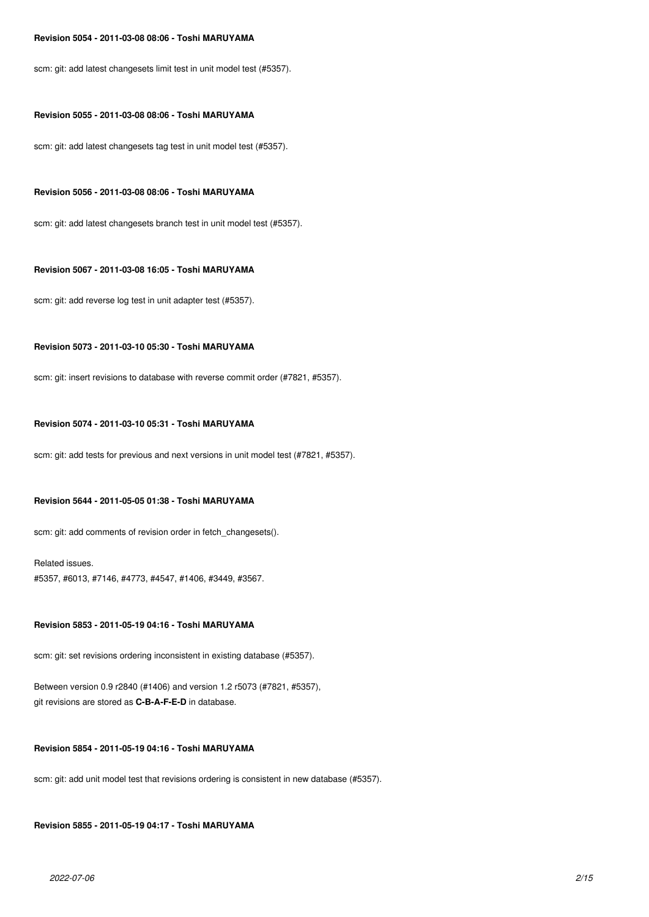#### **Revision 5054 - 2011-03-08 08:06 - Toshi MARUYAMA**

scm: git: add latest changesets limit test in unit model test (#5357).

### **Revision 5055 - 2011-03-08 08:06 - Toshi MARUYAMA**

scm: git: add latest changesets tag test in unit model test (#5357).

#### **Revision 5056 - 2011-03-08 08:06 - Toshi MARUYAMA**

scm: git: add latest changesets branch test in unit model test (#5357).

### **Revision 5067 - 2011-03-08 16:05 - Toshi MARUYAMA**

scm: git: add reverse log test in unit adapter test (#5357).

# **Revision 5073 - 2011-03-10 05:30 - Toshi MARUYAMA**

scm: git: insert revisions to database with reverse commit order (#7821, #5357).

# **Revision 5074 - 2011-03-10 05:31 - Toshi MARUYAMA**

scm: git: add tests for previous and next versions in unit model test (#7821, #5357).

# **Revision 5644 - 2011-05-05 01:38 - Toshi MARUYAMA**

scm: git: add comments of revision order in fetch changesets().

# Related issues. #5357, #6013, #7146, #4773, #4547, #1406, #3449, #3567.

# **Revision 5853 - 2011-05-19 04:16 - Toshi MARUYAMA**

scm: git: set revisions ordering inconsistent in existing database (#5357).

Between version 0.9 r2840 (#1406) and version 1.2 r5073 (#7821, #5357), git revisions are stored as **C-B-A-F-E-D** in database.

#### **Revision 5854 - 2011-05-19 04:16 - Toshi MARUYAMA**

scm: git: add unit model test that revisions ordering is consistent in new database (#5357).

# **Revision 5855 - 2011-05-19 04:17 - Toshi MARUYAMA**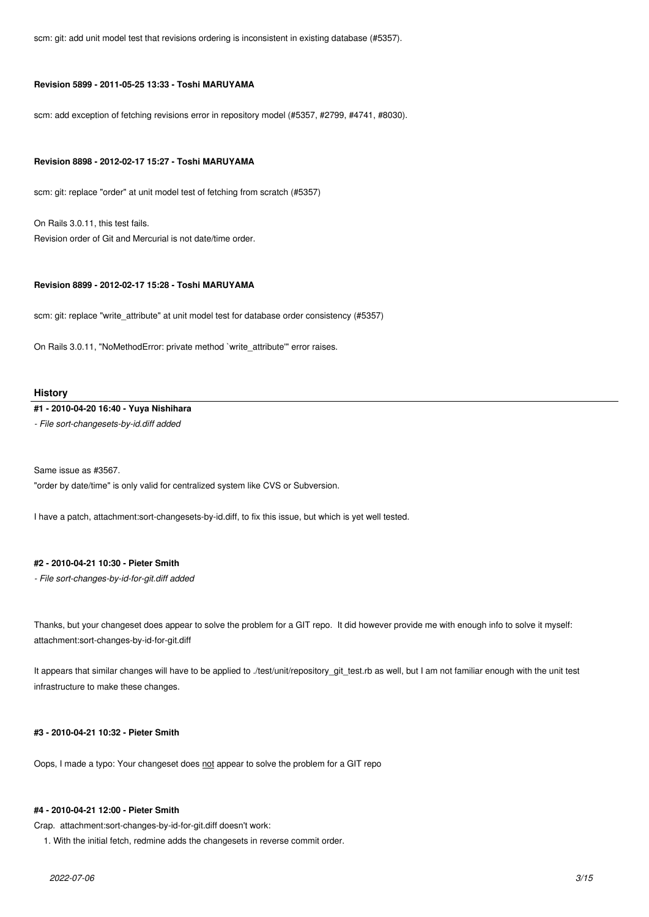scm: git: add unit model test that revisions ordering is inconsistent in existing database (#5357).

#### **Revision 5899 - 2011-05-25 13:33 - Toshi MARUYAMA**

scm: add exception of fetching revisions error in repository model (#5357, #2799, #4741, #8030).

#### **Revision 8898 - 2012-02-17 15:27 - Toshi MARUYAMA**

scm: git: replace "order" at unit model test of fetching from scratch (#5357)

On Rails 3.0.11, this test fails. Revision order of Git and Mercurial is not date/time order.

#### **Revision 8899 - 2012-02-17 15:28 - Toshi MARUYAMA**

scm: git: replace "write\_attribute" at unit model test for database order consistency (#5357)

On Rails 3.0.11, "NoMethodError: private method `write\_attribute'" error raises.

#### **History**

#### **#1 - 2010-04-20 16:40 - Yuya Nishihara**

*- File sort-changesets-by-id.diff added*

Same issue as #3567. "order by date/time" is only valid for centralized system like CVS or Subversion.

I have a patch, attachment:sort-changesets-by-id.diff, to fix this issue, but which is yet well tested.

# **#2 - 2010-04-21 10:30 - Pieter Smith**

*- File sort-changes-by-id-for-git.diff added*

Thanks, but your changeset does appear to solve the problem for a GIT repo. It did however provide me with enough info to solve it myself: attachment:sort-changes-by-id-for-git.diff

It appears that similar changes will have to be applied to ./test/unit/repository\_git\_test.rb as well, but I am not familiar enough with the unit test infrastructure to make these changes.

# **#3 - 2010-04-21 10:32 - Pieter Smith**

Oops, I made a typo: Your changeset does not appear to solve the problem for a GIT repo

#### **#4 - 2010-04-21 12:00 - Pieter Smith**

Crap. attachment:sort-changes-by-id-for-git.diff doesn't work:

1. With the initial fetch, redmine adds the changesets in reverse commit order.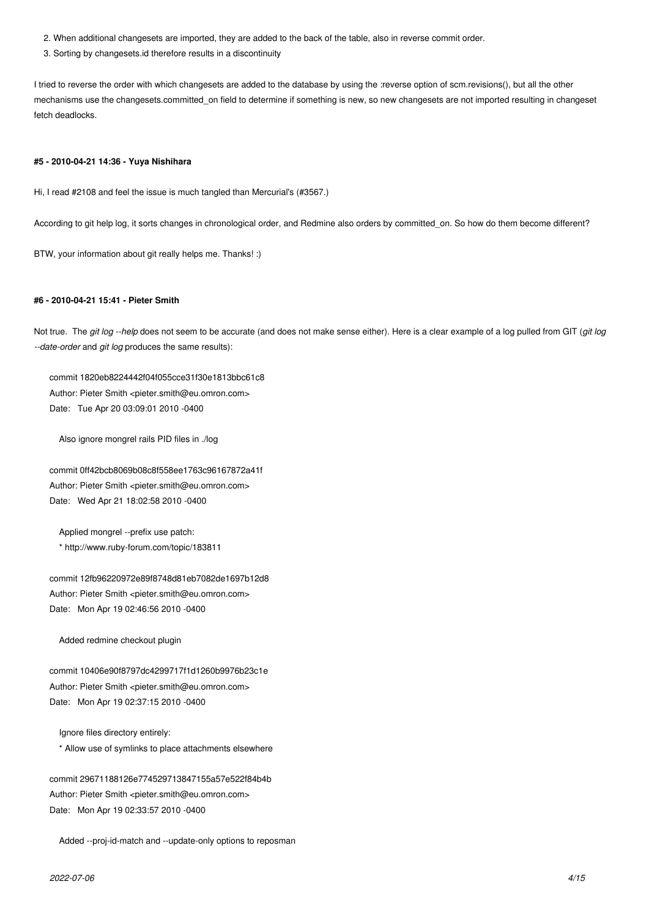- 2. When additional changesets are imported, they are added to the back of the table, also in reverse commit order.
- 3. Sorting by changesets.id therefore results in a discontinuity

I tried to reverse the order with which changesets are added to the database by using the :reverse option of scm.revisions(), but all the other mechanisms use the changesets.committed\_on field to determine if something is new, so new changesets are not imported resulting in changeset fetch deadlocks.

#### **#5 - 2010-04-21 14:36 - Yuya Nishihara**

Hi, I read #2108 and feel the issue is much tangled than Mercurial's (#3567.)

According to git help log, it sorts changes in chronological order, and Redmine also orders by committed on. So how do them become different?

BTW, your information about git really helps me. Thanks! :)

#### **#6 - 2010-04-21 15:41 - Pieter Smith**

Not true. The *git log --help* does not seem to be accurate (and does not make sense either). Here is a clear example of a log pulled from GIT (*git log --date-order* and *git log* produces the same results):

commit 1820eb8224442f04f055cce31f30e1813bbc61c8 Author: Pieter Smith <pieter.smith@eu.omron.com> Date: Tue Apr 20 03:09:01 2010 -0400

Also ignore mongrel rails PID files in ./log

commit 0ff42bcb8069b08c8f558ee1763c96167872a41f Author: Pieter Smith <pieter.smith@eu.omron.com> Date: Wed Apr 21 18:02:58 2010 -0400

 Applied mongrel --prefix use patch: \* http://www.ruby-forum.com/topic/183811

commit 12fb96220972e89f8748d81eb7082de1697b12d8 Author: Pieter Smith <pieter.smith@eu.omron.com> Date: Mon Apr 19 02:46:56 2010 -0400

Added redmine checkout plugin

commit 10406e90f8797dc4299717f1d1260b9976b23c1e Author: Pieter Smith <pieter.smith@eu.omron.com> Date: Mon Apr 19 02:37:15 2010 -0400

 Ignore files directory entirely: \* Allow use of symlinks to place attachments elsewhere

commit 29671188126e774529713847155a57e522f84b4b Author: Pieter Smith <pieter.smith@eu.omron.com> Date: Mon Apr 19 02:33:57 2010 -0400

Added --proj-id-match and --update-only options to reposman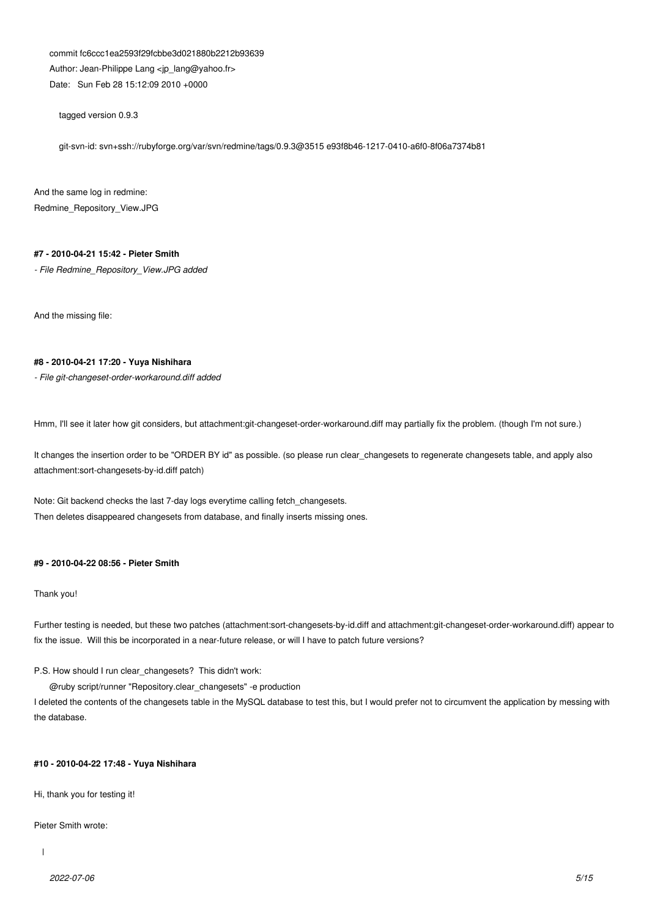commit fc6ccc1ea2593f29fcbbe3d021880b2212b93639 Author: Jean-Philippe Lang <ip\_lang@yahoo.fr> Date: Sun Feb 28 15:12:09 2010 +0000

tagged version 0.9.3

git-svn-id: svn+ssh://rubyforge.org/var/svn/redmine/tags/0.9.3@3515 e93f8b46-1217-0410-a6f0-8f06a7374b81

And the same log in redmine: Redmine\_Repository\_View.JPG

### **#7 - 2010-04-21 15:42 - Pieter Smith**

*- File Redmine\_Repository\_View.JPG added*

And the missing file:

### **#8 - 2010-04-21 17:20 - Yuya Nishihara**

*- File git-changeset-order-workaround.diff added*

Hmm, I'll see it later how git considers, but attachment:git-changeset-order-workaround.diff may partially fix the problem. (though I'm not sure.)

It changes the insertion order to be "ORDER BY id" as possible. (so please run clear\_changesets to regenerate changesets table, and apply also attachment:sort-changesets-by-id.diff patch)

Note: Git backend checks the last 7-day logs everytime calling fetch\_changesets. Then deletes disappeared changesets from database, and finally inserts missing ones.

# **#9 - 2010-04-22 08:56 - Pieter Smith**

### Thank you!

Further testing is needed, but these two patches (attachment:sort-changesets-by-id.diff and attachment:git-changeset-order-workaround.diff) appear to fix the issue. Will this be incorporated in a near-future release, or will I have to patch future versions?

P.S. How should I run clear\_changesets? This didn't work:

@ruby script/runner "Repository.clear\_changesets" -e production

I deleted the contents of the changesets table in the MySQL database to test this, but I would prefer not to circumvent the application by messing with the database.

#### **#10 - 2010-04-22 17:48 - Yuya Nishihara**

Hi, thank you for testing it!

#### Pieter Smith wrote: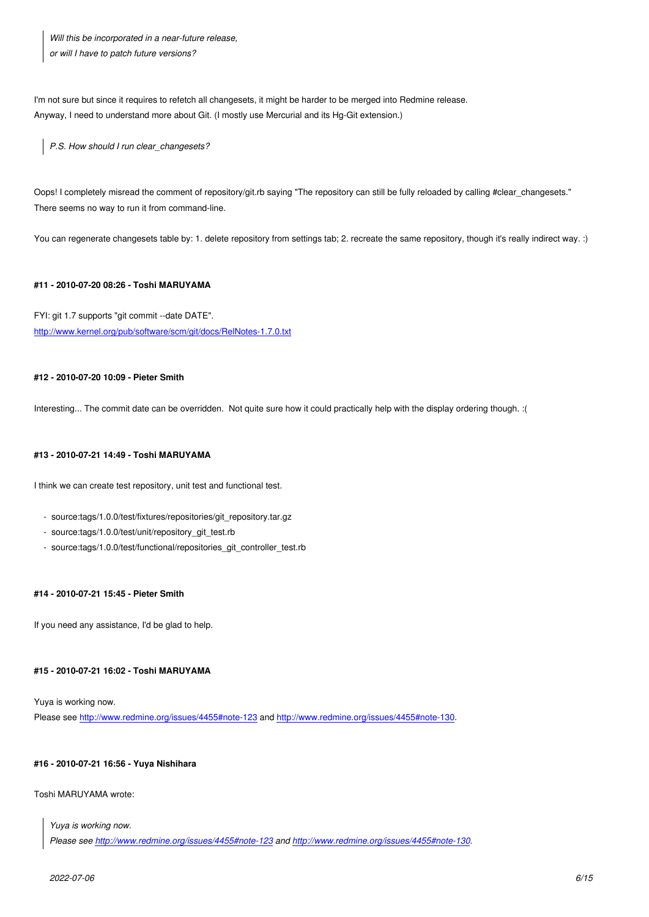*or will I have to patch future versions?*

I'm not sure but since it requires to refetch all changesets, it might be harder to be merged into Redmine release. Anyway, I need to understand more about Git. (I mostly use Mercurial and its Hg-Git extension.)

*P.S. How should I run clear\_changesets?*

Oops! I completely misread the comment of repository/git.rb saying "The repository can still be fully reloaded by calling #clear\_changesets." There seems no way to run it from command-line.

You can regenerate changesets table by: 1. delete repository from settings tab; 2. recreate the same repository, though it's really indirect way. :)

# **#11 - 2010-07-20 08:26 - Toshi MARUYAMA**

FYI: git 1.7 supports "git commit --date DATE". http://www.kernel.org/pub/software/scm/git/docs/RelNotes-1.7.0.txt

# **[#12 - 2010-07-20 10:09 - Pieter Smith](http://www.kernel.org/pub/software/scm/git/docs/RelNotes-1.7.0.txt)**

Interesting... The commit date can be overridden. Not quite sure how it could practically help with the display ordering though. :(

### **#13 - 2010-07-21 14:49 - Toshi MARUYAMA**

I think we can create test repository, unit test and functional test.

- source:tags/1.0.0/test/fixtures/repositories/git\_repository.tar.gz
- source:tags/1.0.0/test/unit/repository\_git\_test.rb
- source:tags/1.0.0/test/functional/repositories\_git\_controller\_test.rb

# **#14 - 2010-07-21 15:45 - Pieter Smith**

If you need any assistance, I'd be glad to help.

# **#15 - 2010-07-21 16:02 - Toshi MARUYAMA**

Yuya is working now. Please see http://www.redmine.org/issues/4455#note-123 and http://www.redmine.org/issues/4455#note-130.

#### **#16 - 2010-[07-21 16:56 - Yuya Nishihara](http://www.redmine.org/issues/4455#note-123)**

Toshi MARUYAMA wrote:

*Yuya is working now. Please see http://www.redmine.org/issues/4455#note-123 and http://www.redmine.org/issues/4455#note-130.*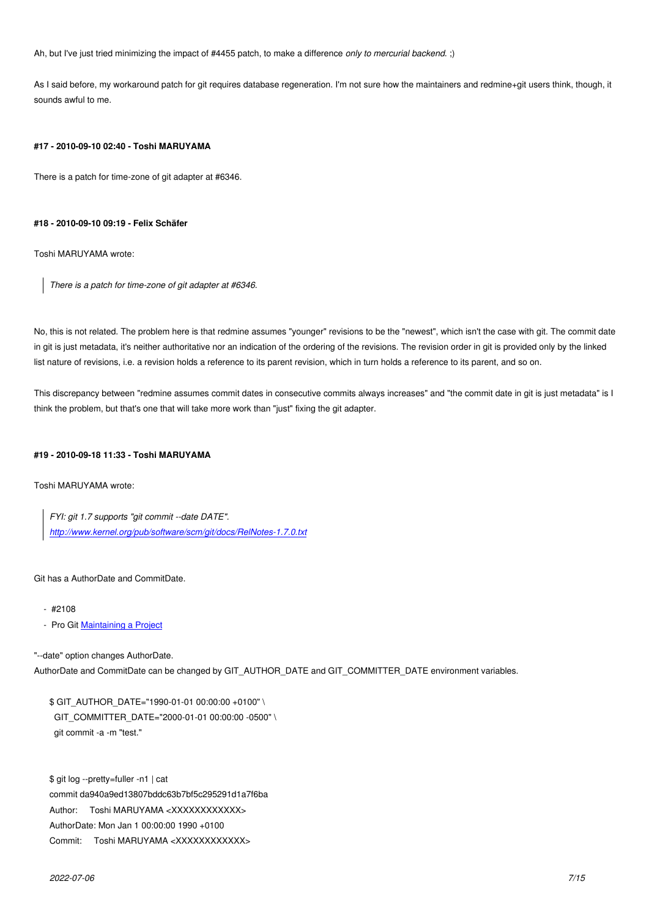Ah, but I've just tried minimizing the impact of #4455 patch, to make a difference *only to mercurial backend*. ;)

As I said before, my workaround patch for git requires database regeneration. I'm not sure how the maintainers and redmine+git users think, though, it sounds awful to me.

#### **#17 - 2010-09-10 02:40 - Toshi MARUYAMA**

There is a patch for time-zone of git adapter at #6346.

### **#18 - 2010-09-10 09:19 - Felix Schäfer**

Toshi MARUYAMA wrote:

*There is a patch for time-zone of git adapter at #6346.*

No, this is not related. The problem here is that redmine assumes "younger" revisions to be the "newest", which isn't the case with git. The commit date in git is just metadata, it's neither authoritative nor an indication of the ordering of the revisions. The revision order in git is provided only by the linked list nature of revisions, i.e. a revision holds a reference to its parent revision, which in turn holds a reference to its parent, and so on.

This discrepancy between "redmine assumes commit dates in consecutive commits always increases" and "the commit date in git is just metadata" is I think the problem, but that's one that will take more work than "just" fixing the git adapter.

# **#19 - 2010-09-18 11:33 - Toshi MARUYAMA**

Toshi MARUYAMA wrote:

*FYI: git 1.7 supports "git commit --date DATE". http://www.kernel.org/pub/software/scm/git/docs/RelNotes-1.7.0.txt*

Git [has a AuthorDate and CommitDate.](http://www.kernel.org/pub/software/scm/git/docs/RelNotes-1.7.0.txt)

- #2108
- Pro Git Maintaining a Project

"--date" option changes AuthorDate.

AuthorDate [and CommitDate can](http://progit.org/book/ch5-3.html) be changed by GIT\_AUTHOR\_DATE and GIT\_COMMITTER\_DATE environment variables.

\$ GIT\_AUTHOR\_DATE="1990-01-01 00:00:00 +0100" \ GIT\_COMMITTER\_DATE="2000-01-01 00:00:00 -0500" \ git commit -a -m "test."

\$ git log --pretty=fuller -n1 | cat commit da940a9ed13807bddc63b7bf5c295291d1a7f6ba Author: Toshi MARUYAMA <XXXXXXXXXXXX> AuthorDate: Mon Jan 1 00:00:00 1990 +0100 Commit: Toshi MARUYAMA <XXXXXXXXXXXX>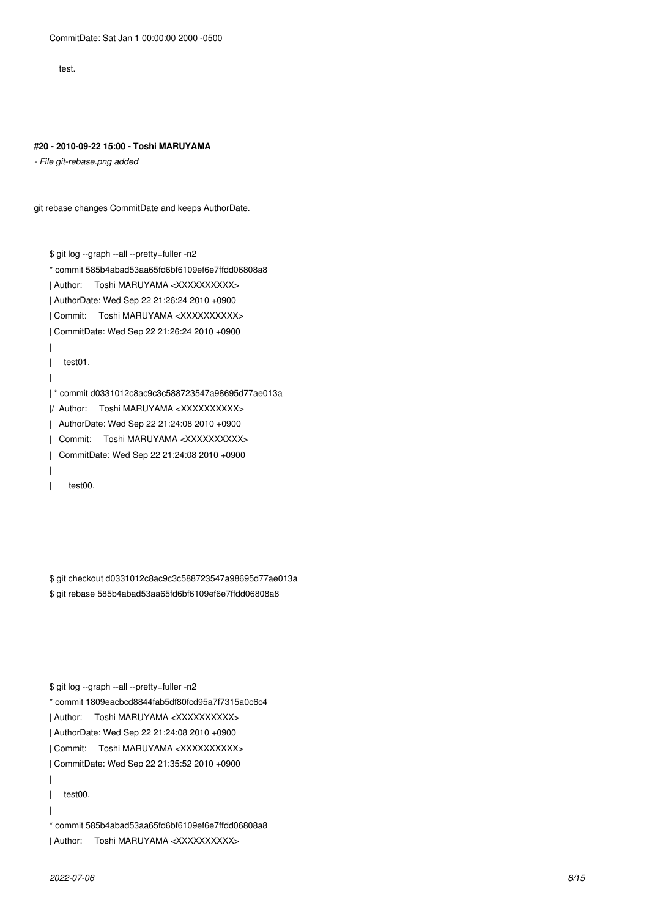test.

#### **#20 - 2010-09-22 15:00 - Toshi MARUYAMA**

*- File git-rebase.png added*

git rebase changes CommitDate and keeps AuthorDate.

\$ git log --graph --all --pretty=fuller -n2

\* commit 585b4abad53aa65fd6bf6109ef6e7ffdd06808a8

| Author: Toshi MARUYAMA <XXXXXXXXXX>

| AuthorDate: Wed Sep 22 21:26:24 2010 +0900

| Commit: Toshi MARUYAMA <XXXXXXXXXX>

| CommitDate: Wed Sep 22 21:26:24 2010 +0900

|

|

| test01.

| \* commit d0331012c8ac9c3c588723547a98695d77ae013a

|/ Author: Toshi MARUYAMA <XXXXXXXXXX>

| AuthorDate: Wed Sep 22 21:24:08 2010 +0900

| Commit: Toshi MARUYAMA <XXXXXXXXXX>

| CommitDate: Wed Sep 22 21:24:08 2010 +0900

|

| test00.

\$ git checkout d0331012c8ac9c3c588723547a98695d77ae013a \$ git rebase 585b4abad53aa65fd6bf6109ef6e7ffdd06808a8

\$ git log --graph --all --pretty=fuller -n2

\* commit 1809eacbcd8844fab5df80fcd95a7f7315a0c6c4

| Author: Toshi MARUYAMA <XXXXXXXXXX>

| AuthorDate: Wed Sep 22 21:24:08 2010 +0900

| Commit: Toshi MARUYAMA <XXXXXXXXXX>

| CommitDate: Wed Sep 22 21:35:52 2010 +0900

| test00.

|

|

\* commit 585b4abad53aa65fd6bf6109ef6e7ffdd06808a8

| Author: Toshi MARUYAMA <XXXXXXXXXX>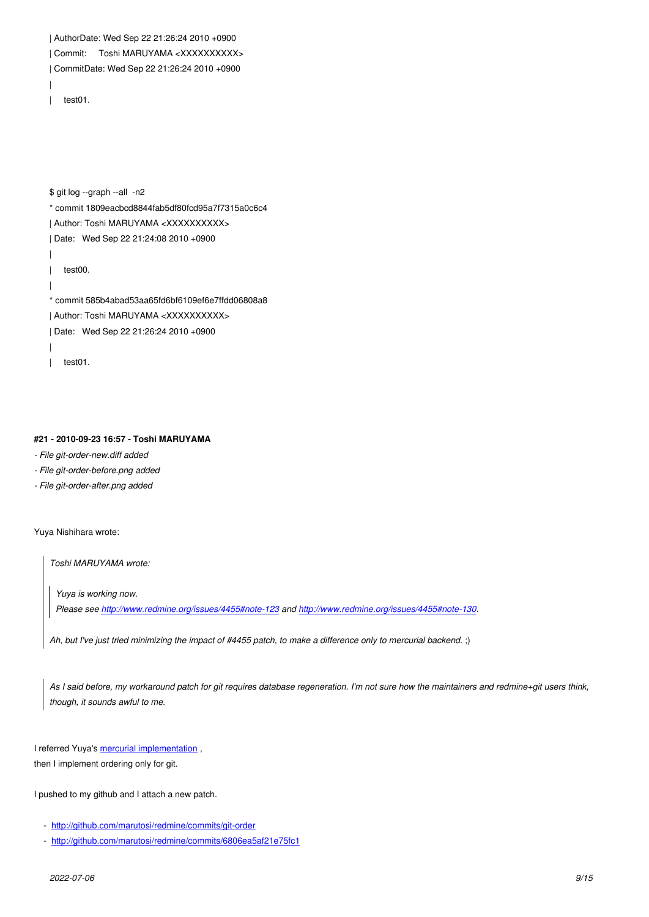| ~~~~~~~<br><del>,,,,,,,,,,,</del> ,<br>ww<br>טו ורועו |
|-------------------------------------------------------|
| CommitDate: Wed Sep 22 21:26:24 2010 +0900            |
|                                                       |
| test01.                                               |
|                                                       |
|                                                       |
|                                                       |

\$ git log --graph --all -n2

- \* commit 1809eacbcd8844fab5df80fcd95a7f7315a0c6c4
- | Author: Toshi MARUYAMA <XXXXXXXXXX>
- | Date: Wed Sep 22 21:24:08 2010 +0900
- |
- | test00.
- |
- \* commit 585b4abad53aa65fd6bf6109ef6e7ffdd06808a8
- | Author: Toshi MARUYAMA <XXXXXXXXXX>
- | Date: Wed Sep 22 21:26:24 2010 +0900
- |
- | test01.

### **#21 - 2010-09-23 16:57 - Toshi MARUYAMA**

- *File git-order-new.diff added*
- *File git-order-before.png added*
- *File git-order-after.png added*

Yuya Nishihara wrote:

*Toshi MARUYAMA wrote:*

*Yuya is working now.*

*Please see http://www.redmine.org/issues/4455#note-123 and http://www.redmine.org/issues/4455#note-130.*

*Ah, but I've just tried minimizing the impact of #4455 patch, to make a difference only to mercurial backend*. ;)

*As I said before, my workaround patch for git requires database regeneration. I'm not sure how the maintainers and redmine+git users think, though, it sounds awful to me.*

I referred Yuya's mercurial implementation , then I implement ordering only for git.

I pushed to my g[ithub and I attach a new p](http://bitbucket.org/yuja/redmine-mq-issue4455/src/a7f2ec8a9198/hg-changeset-order.patch#cl-22)atch.

- http://github.com/marutosi/redmine/commits/git-order
- http://github.com/marutosi/redmine/commits/6806ea5af21e75fc1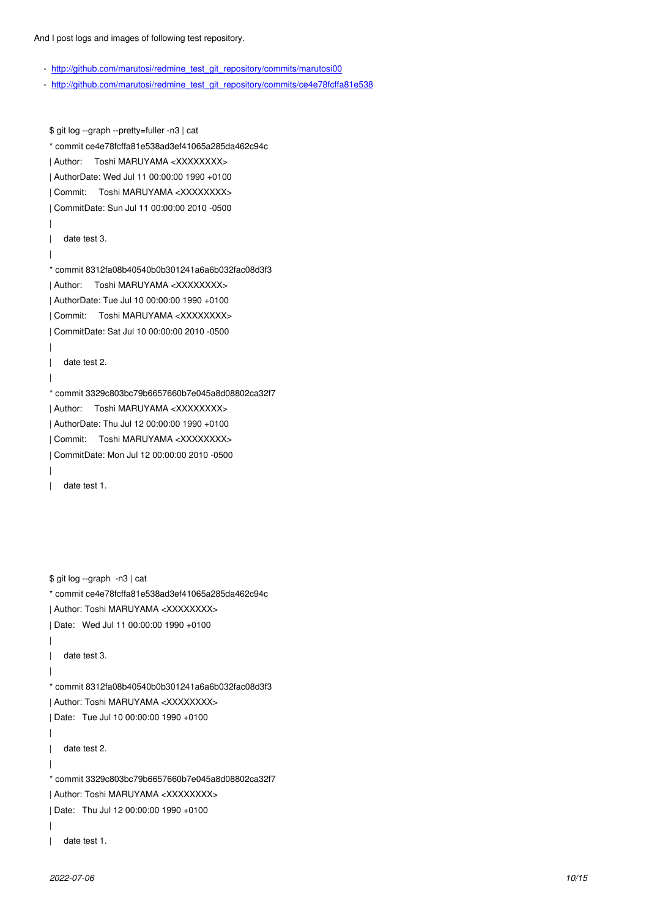- http://github.com/marutosi/redmine\_test\_git\_repository/commits/marutosi00
- http://github.com/marutosi/redmine\_test\_git\_repository/commits/ce4e78fcffa81e538

[\\$ git log --graph --pretty=fuller -n3 | cat](http://github.com/marutosi/redmine_test_git_repository/commits/ce4e78fcffa81e538) \* commit ce4e78fcffa81e538ad3ef41065a285da462c94c | Author: Toshi MARUYAMA <XXXXXXXX> | AuthorDate: Wed Jul 11 00:00:00 1990 +0100 | Commit: Toshi MARUYAMA <XXXXXXXX> | CommitDate: Sun Jul 11 00:00:00 2010 -0500 | | date test 3. | \* commit 8312fa08b40540b0b301241a6a6b032fac08d3f3 | Author: Toshi MARUYAMA <XXXXXXXX> | AuthorDate: Tue Jul 10 00:00:00 1990 +0100 | Commit: Toshi MARUYAMA <XXXXXXXX> | CommitDate: Sat Jul 10 00:00:00 2010 -0500 | | date test 2. | \* commit 3329c803bc79b6657660b7e045a8d08802ca32f7 | Author: Toshi MARUYAMA <XXXXXXXX> | AuthorDate: Thu Jul 12 00:00:00 1990 +0100 | Commit: Toshi MARUYAMA <XXXXXXXX> | CommitDate: Mon Jul 12 00:00:00 2010 -0500 | | date test 1. \$ git log --graph -n3 | cat \* commit ce4e78fcffa81e538ad3ef41065a285da462c94c | Author: Toshi MARUYAMA <XXXXXXXX> | Date: Wed Jul 11 00:00:00 1990 +0100 | | date test 3. | \* commit 8312fa08b40540b0b301241a6a6b032fac08d3f3 | Author: Toshi MARUYAMA <XXXXXXXX> | Date: Tue Jul 10 00:00:00 1990 +0100 | | date test 2. | \* commit 3329c803bc79b6657660b7e045a8d08802ca32f7 | Author: Toshi MARUYAMA <XXXXXXXX> | Date: Thu Jul 12 00:00:00 1990 +0100 | | date test 1.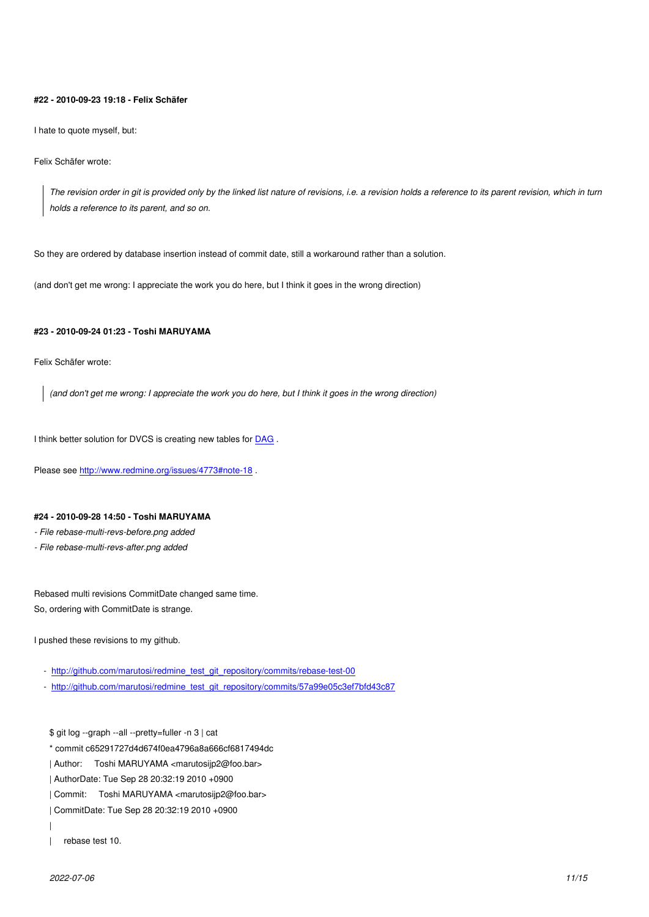#### **#22 - 2010-09-23 19:18 - Felix Schäfer**

I hate to quote myself, but:

Felix Schäfer wrote:

*The revision order in git is provided only by the linked list nature of revisions, i.e. a revision holds a reference to its parent revision, which in turn holds a reference to its parent, and so on.*

So they are ordered by database insertion instead of commit date, still a workaround rather than a solution.

(and don't get me wrong: I appreciate the work you do here, but I think it goes in the wrong direction)

# **#23 - 2010-09-24 01:23 - Toshi MARUYAMA**

Felix Schäfer wrote:

*(and don't get me wrong: I appreciate the work you do here, but I think it goes in the wrong direction)*

I think better solution for DVCS is creating new tables for DAG .

Please see http://www.redmine.org/issues/4773#note-18 .

### **#24 - 2010-[09-28 14:50 - Toshi MARUYAMA](http://www.redmine.org/issues/4773#note-18)**

*- File rebase-multi-revs-before.png added*

*- File rebase-multi-revs-after.png added*

Rebased multi revisions CommitDate changed same time. So, ordering with CommitDate is strange.

I pushed these revisions to my github.

- http://github.com/marutosi/redmine\_test\_git\_repository/commits/rebase-test-00

- http://github.com/marutosi/redmine\_test\_git\_repository/commits/57a99e05c3ef7bfd43c87

[\\$ git log --graph --all --pretty=fuller -n 3 | cat](http://github.com/marutosi/redmine_test_git_repository/commits/rebase-test-00)

[\\* commit c65291727d4d674f0ea4796a8a666cf6817494dc](http://github.com/marutosi/redmine_test_git_repository/commits/57a99e05c3ef7bfd43c87)

| Author: Toshi MARUYAMA <marutosijp2@foo.bar>

| AuthorDate: Tue Sep 28 20:32:19 2010 +0900

| Commit: Toshi MARUYAMA <marutosijp2@foo.bar>

| CommitDate: Tue Sep 28 20:32:19 2010 +0900

- |
- | rebase test 10.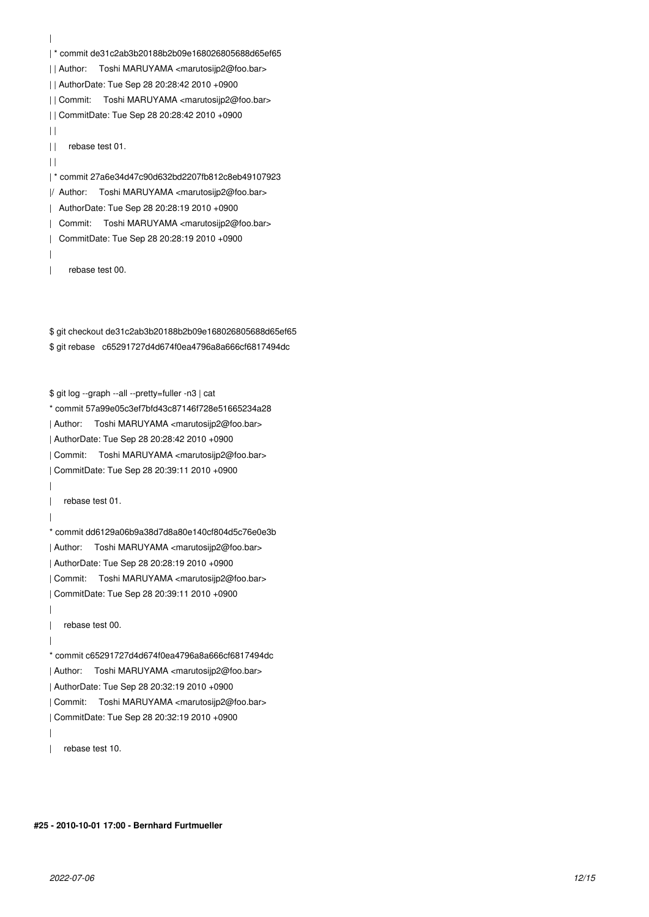| | \* commit de31c2ab3b20188b2b09e168026805688d65ef65 | | Author: Toshi MARUYAMA <marutosijp2@foo.bar> | | AuthorDate: Tue Sep 28 20:28:42 2010 +0900 | | Commit: Toshi MARUYAMA <marutosijp2@foo.bar> | | CommitDate: Tue Sep 28 20:28:42 2010 +0900  $| |$ | | rebase test 01.  $| |$ | \* commit 27a6e34d47c90d632bd2207fb812c8eb49107923 |/ Author: Toshi MARUYAMA <marutosijp2@foo.bar> | AuthorDate: Tue Sep 28 20:28:19 2010 +0900 | Commit: Toshi MARUYAMA <marutosijp2@foo.bar> | CommitDate: Tue Sep 28 20:28:19 2010 +0900 | | rebase test 00.

\$ git checkout de31c2ab3b20188b2b09e168026805688d65ef65 \$ git rebase c65291727d4d674f0ea4796a8a666cf6817494dc

\$ git log --graph --all --pretty=fuller -n3 | cat \* commit 57a99e05c3ef7bfd43c87146f728e51665234a28 | Author: Toshi MARUYAMA <marutosijp2@foo.bar> | AuthorDate: Tue Sep 28 20:28:42 2010 +0900 | Commit: Toshi MARUYAMA <marutosijp2@foo.bar> | CommitDate: Tue Sep 28 20:39:11 2010 +0900 | | rebase test 01. | \* commit dd6129a06b9a38d7d8a80e140cf804d5c76e0e3b | Author: Toshi MARUYAMA <marutosijp2@foo.bar> | AuthorDate: Tue Sep 28 20:28:19 2010 +0900 | Commit: Toshi MARUYAMA <marutosijp2@foo.bar> | CommitDate: Tue Sep 28 20:39:11 2010 +0900 | | rebase test 00. | \* commit c65291727d4d674f0ea4796a8a666cf6817494dc | Author: Toshi MARUYAMA <marutosijp2@foo.bar> | AuthorDate: Tue Sep 28 20:32:19 2010 +0900 | Commit: Toshi MARUYAMA <marutosijp2@foo.bar> | CommitDate: Tue Sep 28 20:32:19 2010 +0900 |

| rebase test 10.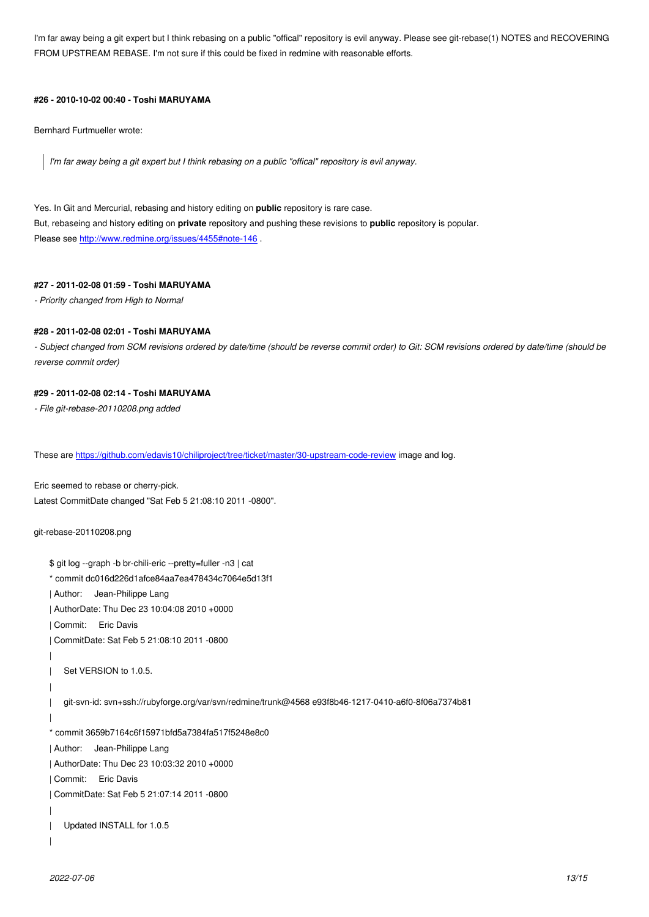FROM UPSTREAM REBASE. I'm not sure if this could be fixed in redmine with reasonable efforts.

### **#26 - 2010-10-02 00:40 - Toshi MARUYAMA**

Bernhard Furtmueller wrote:

*I'm far away being a git expert but I think rebasing on a public "offical" repository is evil anyway.*

Yes. In Git and Mercurial, rebasing and history editing on **public** repository is rare case. But, rebaseing and history editing on **private** repository and pushing these revisions to **public** repository is popular. Please see http://www.redmine.org/issues/4455#note-146.

# **#27 - 2011-02-08 01:59 - Toshi MARUYAMA**

*- Priority ch[anged from High to Normal](http://www.redmine.org/issues/4455#note-146)*

#### **#28 - 2011-02-08 02:01 - Toshi MARUYAMA**

*- Subject changed from SCM revisions ordered by date/time (should be reverse commit order) to Git: SCM revisions ordered by date/time (should be reverse commit order)*

#### **#29 - 2011-02-08 02:14 - Toshi MARUYAMA**

*- File git-rebase-20110208.png added*

These are https://github.com/edavis10/chiliproject/tree/ticket/master/30-upstream-code-review image and log.

Eric seemed to rebase or cherry-pick. Latest Co[mmitDate changed "Sat Feb 5 21:08:10 2011 -0800".](https://github.com/edavis10/chiliproject/tree/ticket/master/30-upstream-code-review)

```
git-rebase-20110208.png
```

```
$ git log --graph -b br-chili-eric --pretty=fuller -n3 | cat
* commit dc016d226d1afce84aa7ea478434c7064e5d13f1
| Author: Jean-Philippe Lang
| AuthorDate: Thu Dec 23 10:04:08 2010 +0000
| Commit: Eric Davis
| CommitDate: Sat Feb 5 21:08:10 2011 -0800
| 
| Set VERSION to 1.0.5.
| 
| git-svn-id: svn+ssh://rubyforge.org/var/svn/redmine/trunk@4568 e93f8b46-1217-0410-a6f0-8f06a7374b81
| 
* commit 3659b7164c6f15971bfd5a7384fa517f5248e8c0
| Author: Jean-Philippe Lang
| AuthorDate: Thu Dec 23 10:03:32 2010 +0000
| Commit: Eric Davis
| CommitDate: Sat Feb 5 21:07:14 2011 -0800
| 
| Updated INSTALL for 1.0.5
|
```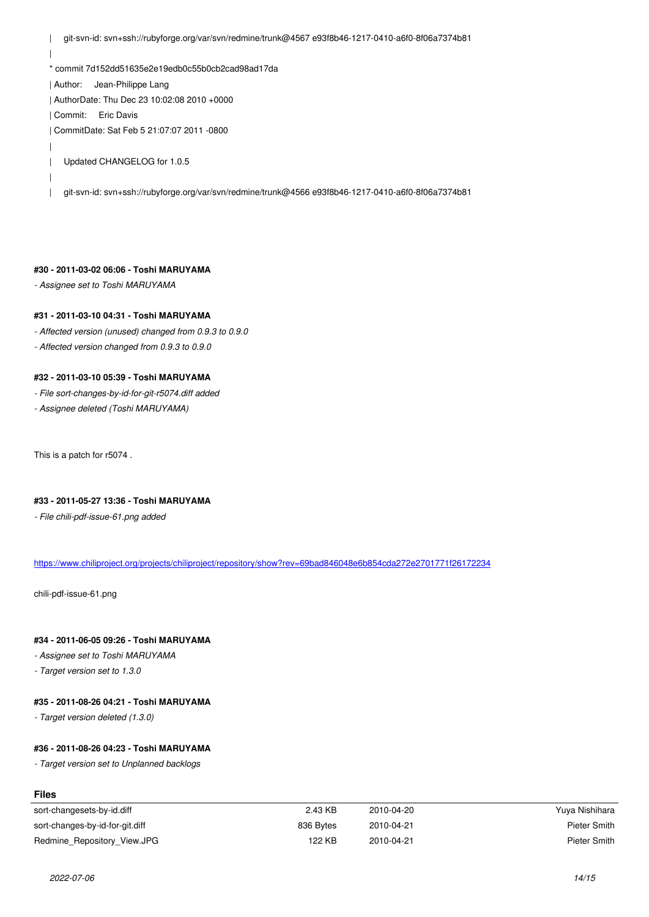| \* commit 7d152dd51635e2e19edb0c55b0cb2cad98ad17da | Author: Jean-Philippe Lang | AuthorDate: Thu Dec 23 10:02:08 2010 +0000 | Commit: Eric Davis | CommitDate: Sat Feb 5 21:07:07 2011 -0800 | | Updated CHANGELOG for 1.0.5 | | git-svn-id: svn+ssh://rubyforge.org/var/svn/redmine/trunk@4566 e93f8b46-1217-0410-a6f0-8f06a7374b81

### **#30 - 2011-03-02 06:06 - Toshi MARUYAMA**

*- Assignee set to Toshi MARUYAMA*

### **#31 - 2011-03-10 04:31 - Toshi MARUYAMA**

*- Affected version (unused) changed from 0.9.3 to 0.9.0*

*- Affected version changed from 0.9.3 to 0.9.0*

# **#32 - 2011-03-10 05:39 - Toshi MARUYAMA**

- *File sort-changes-by-id-for-git-r5074.diff added*
- *Assignee deleted (Toshi MARUYAMA)*

This is a patch for r5074 .

# **#33 - 2011-05-27 13:36 - Toshi MARUYAMA**

*- File chili-pdf-issue-61.png added*

https://www.chiliproject.org/projects/chiliproject/repository/show?rev=69bad846048e6b854cda272e2701771f26172234

chili-pdf-issue-61.png

# **#34 - 2011-06-05 09:26 - Toshi MARUYAMA**

*- Assignee set to Toshi MARUYAMA*

*- Target version set to 1.3.0*

# **#35 - 2011-08-26 04:21 - Toshi MARUYAMA**

*- Target version deleted (1.3.0)*

### **#36 - 2011-08-26 04:23 - Toshi MARUYAMA**

*- Target version set to Unplanned backlogs*

| ------                          |           |            |                |
|---------------------------------|-----------|------------|----------------|
| sort-changesets-by-id.diff      | 2.43 KB   | 2010-04-20 | Yuya Nishihara |
| sort-changes-by-id-for-git.diff | 836 Bytes | 2010-04-21 | Pieter Smith   |
| Redmine Repository View.JPG     | 122 KB    | 2010-04-21 | Pieter Smith   |

**Files**